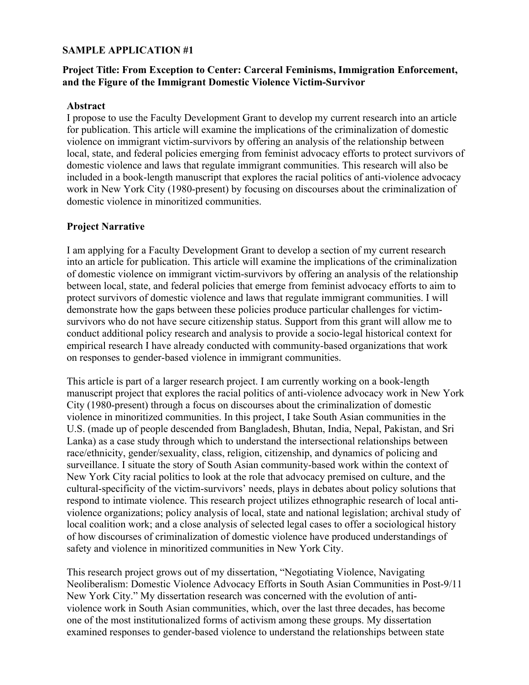## **SAMPLE APPLICATION #1**

## **Project Title: From Exception to Center: Carceral Feminisms, Immigration Enforcement, and the Figure of the Immigrant Domestic Violence Victim-Survivor**

### **Abstract**

I propose to use the Faculty Development Grant to develop my current research into an article for publication. This article will examine the implications of the criminalization of domestic violence on immigrant victim-survivors by offering an analysis of the relationship between local, state, and federal policies emerging from feminist advocacy efforts to protect survivors of domestic violence and laws that regulate immigrant communities. This research will also be included in a book-length manuscript that explores the racial politics of anti-violence advocacy work in New York City (1980-present) by focusing on discourses about the criminalization of domestic violence in minoritized communities.

## **Project Narrative**

I am applying for a Faculty Development Grant to develop a section of my current research into an article for publication. This article will examine the implications of the criminalization of domestic violence on immigrant victim-survivors by offering an analysis of the relationship between local, state, and federal policies that emerge from feminist advocacy efforts to aim to protect survivors of domestic violence and laws that regulate immigrant communities. I will demonstrate how the gaps between these policies produce particular challenges for victimsurvivors who do not have secure citizenship status. Support from this grant will allow me to conduct additional policy research and analysis to provide a socio-legal historical context for empirical research I have already conducted with community-based organizations that work on responses to gender-based violence in immigrant communities.

This article is part of a larger research project. I am currently working on a book-length manuscript project that explores the racial politics of anti-violence advocacy work in New York City (1980-present) through a focus on discourses about the criminalization of domestic violence in minoritized communities. In this project, I take South Asian communities in the U.S. (made up of people descended from Bangladesh, Bhutan, India, Nepal, Pakistan, and Sri Lanka) as a case study through which to understand the intersectional relationships between race/ethnicity, gender/sexuality, class, religion, citizenship, and dynamics of policing and surveillance. I situate the story of South Asian community-based work within the context of New York City racial politics to look at the role that advocacy premised on culture, and the cultural-specificity of the victim-survivors' needs, plays in debates about policy solutions that respond to intimate violence. This research project utilizes ethnographic research of local antiviolence organizations; policy analysis of local, state and national legislation; archival study of local coalition work; and a close analysis of selected legal cases to offer a sociological history of how discourses of criminalization of domestic violence have produced understandings of safety and violence in minoritized communities in New York City.

This research project grows out of my dissertation, "Negotiating Violence, Navigating Neoliberalism: Domestic Violence Advocacy Efforts in South Asian Communities in Post-9/11 New York City." My dissertation research was concerned with the evolution of antiviolence work in South Asian communities, which, over the last three decades, has become one of the most institutionalized forms of activism among these groups. My dissertation examined responses to gender-based violence to understand the relationships between state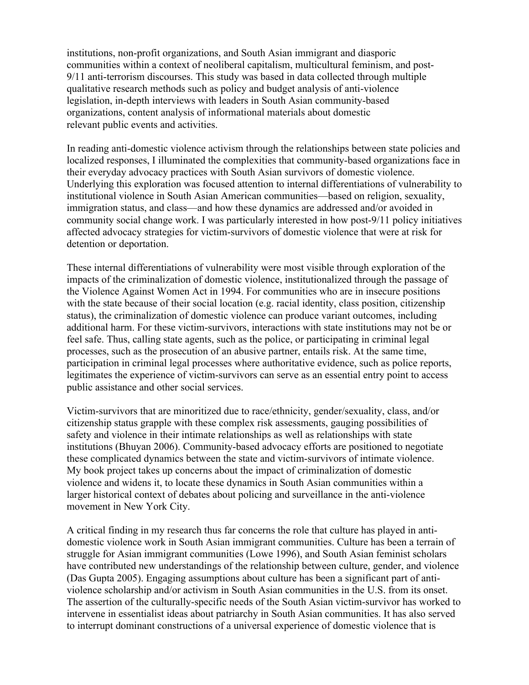institutions, non-profit organizations, and South Asian immigrant and diasporic communities within a context of neoliberal capitalism, multicultural feminism, and post-9/11 anti-terrorism discourses. This study was based in data collected through multiple qualitative research methods such as policy and budget analysis of anti-violence legislation, in-depth interviews with leaders in South Asian community-based organizations, content analysis of informational materials about domestic relevant public events and activities.

In reading anti-domestic violence activism through the relationships between state policies and localized responses, I illuminated the complexities that community-based organizations face in their everyday advocacy practices with South Asian survivors of domestic violence. Underlying this exploration was focused attention to internal differentiations of vulnerability to institutional violence in South Asian American communities—based on religion, sexuality, immigration status, and class—and how these dynamics are addressed and/or avoided in community social change work. I was particularly interested in how post-9/11 policy initiatives affected advocacy strategies for victim-survivors of domestic violence that were at risk for detention or deportation.

These internal differentiations of vulnerability were most visible through exploration of the impacts of the criminalization of domestic violence, institutionalized through the passage of the Violence Against Women Act in 1994. For communities who are in insecure positions with the state because of their social location (e.g. racial identity, class position, citizenship status), the criminalization of domestic violence can produce variant outcomes, including additional harm. For these victim-survivors, interactions with state institutions may not be or feel safe. Thus, calling state agents, such as the police, or participating in criminal legal processes, such as the prosecution of an abusive partner, entails risk. At the same time, participation in criminal legal processes where authoritative evidence, such as police reports, legitimates the experience of victim-survivors can serve as an essential entry point to access public assistance and other social services.

Victim-survivors that are minoritized due to race/ethnicity, gender/sexuality, class, and/or citizenship status grapple with these complex risk assessments, gauging possibilities of safety and violence in their intimate relationships as well as relationships with state institutions (Bhuyan 2006). Community-based advocacy efforts are positioned to negotiate these complicated dynamics between the state and victim-survivors of intimate violence. My book project takes up concerns about the impact of criminalization of domestic violence and widens it, to locate these dynamics in South Asian communities within a larger historical context of debates about policing and surveillance in the anti-violence movement in New York City.

A critical finding in my research thus far concerns the role that culture has played in antidomestic violence work in South Asian immigrant communities. Culture has been a terrain of struggle for Asian immigrant communities (Lowe 1996), and South Asian feminist scholars have contributed new understandings of the relationship between culture, gender, and violence (Das Gupta 2005). Engaging assumptions about culture has been a significant part of antiviolence scholarship and/or activism in South Asian communities in the U.S. from its onset. The assertion of the culturally-specific needs of the South Asian victim-survivor has worked to intervene in essentialist ideas about patriarchy in South Asian communities. It has also served to interrupt dominant constructions of a universal experience of domestic violence that is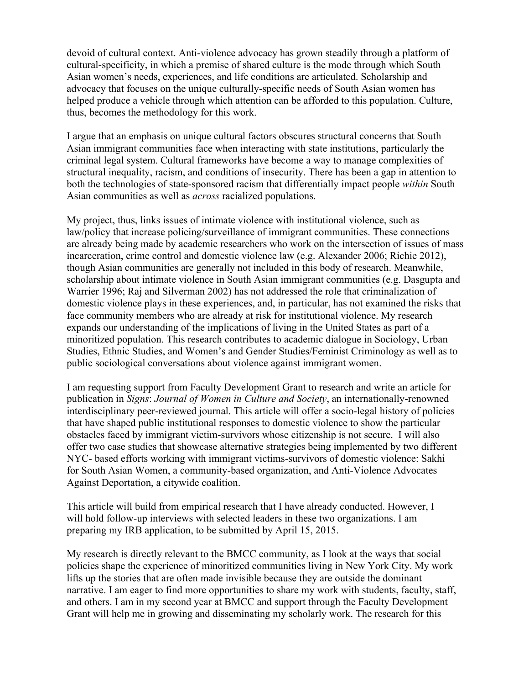devoid of cultural context. Anti-violence advocacy has grown steadily through a platform of cultural-specificity, in which a premise of shared culture is the mode through which South Asian women's needs, experiences, and life conditions are articulated. Scholarship and advocacy that focuses on the unique culturally-specific needs of South Asian women has helped produce a vehicle through which attention can be afforded to this population. Culture, thus, becomes the methodology for this work.

I argue that an emphasis on unique cultural factors obscures structural concerns that South Asian immigrant communities face when interacting with state institutions, particularly the criminal legal system. Cultural frameworks have become a way to manage complexities of structural inequality, racism, and conditions of insecurity. There has been a gap in attention to both the technologies of state-sponsored racism that differentially impact people *within* South Asian communities as well as *across* racialized populations.

My project, thus, links issues of intimate violence with institutional violence, such as law/policy that increase policing/surveillance of immigrant communities. These connections are already being made by academic researchers who work on the intersection of issues of mass incarceration, crime control and domestic violence law (e.g. Alexander 2006; Richie 2012), though Asian communities are generally not included in this body of research. Meanwhile, scholarship about intimate violence in South Asian immigrant communities (e.g. Dasgupta and Warrier 1996; Raj and Silverman 2002) has not addressed the role that criminalization of domestic violence plays in these experiences, and, in particular, has not examined the risks that face community members who are already at risk for institutional violence. My research expands our understanding of the implications of living in the United States as part of a minoritized population. This research contributes to academic dialogue in Sociology, Urban Studies, Ethnic Studies, and Women's and Gender Studies/Feminist Criminology as well as to public sociological conversations about violence against immigrant women.

I am requesting support from Faculty Development Grant to research and write an article for publication in *Signs*: *Journal of Women in Culture and Society*, an internationally-renowned interdisciplinary peer-reviewed journal. This article will offer a socio-legal history of policies that have shaped public institutional responses to domestic violence to show the particular obstacles faced by immigrant victim-survivors whose citizenship is not secure. I will also offer two case studies that showcase alternative strategies being implemented by two different NYC- based efforts working with immigrant victims-survivors of domestic violence: Sakhi for South Asian Women, a community-based organization, and Anti-Violence Advocates Against Deportation, a citywide coalition.

This article will build from empirical research that I have already conducted. However, I will hold follow-up interviews with selected leaders in these two organizations. I am preparing my IRB application, to be submitted by April 15, 2015.

My research is directly relevant to the BMCC community, as I look at the ways that social policies shape the experience of minoritized communities living in New York City. My work lifts up the stories that are often made invisible because they are outside the dominant narrative. I am eager to find more opportunities to share my work with students, faculty, staff, and others. I am in my second year at BMCC and support through the Faculty Development Grant will help me in growing and disseminating my scholarly work. The research for this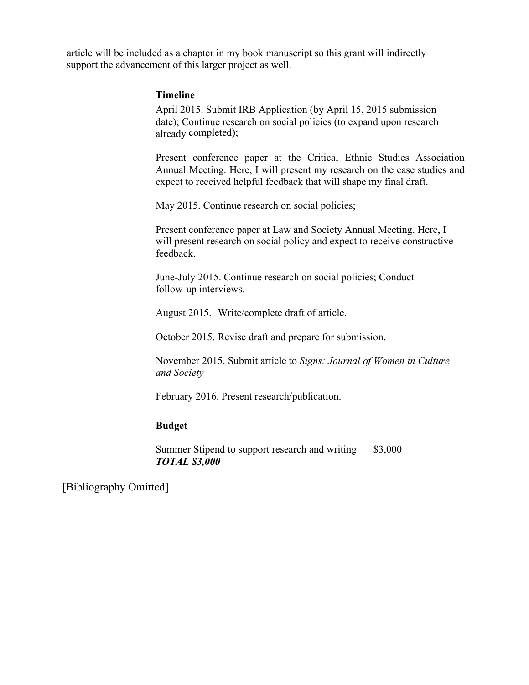article will be included as a chapter in my book manuscript so this grant will indirectly support the advancement of this larger project as well.

### **Timeline**

April 2015. Submit IRB Application (by April 15, 2015 submission date); Continue research on social policies (to expand upon research already completed);

Present conference paper at the Critical Ethnic Studies Association Annual Meeting. Here, I will present my research on the case studies and expect to received helpful feedback that will shape my final draft.

May 2015. Continue research on social policies;

Present conference paper at Law and Society Annual Meeting. Here, I will present research on social policy and expect to receive constructive feedback.

June-July 2015. Continue research on social policies; Conduct follow-up interviews.

August 2015. Write/complete draft of article.

October 2015. Revise draft and prepare for submission.

November 2015. Submit article to *Signs: Journal of Women in Culture and Society*

February 2016. Present research/publication.

#### **Budget**

Summer Stipend to support research and writing \$3,000 *TOTAL \$3,000*

[Bibliography Omitted]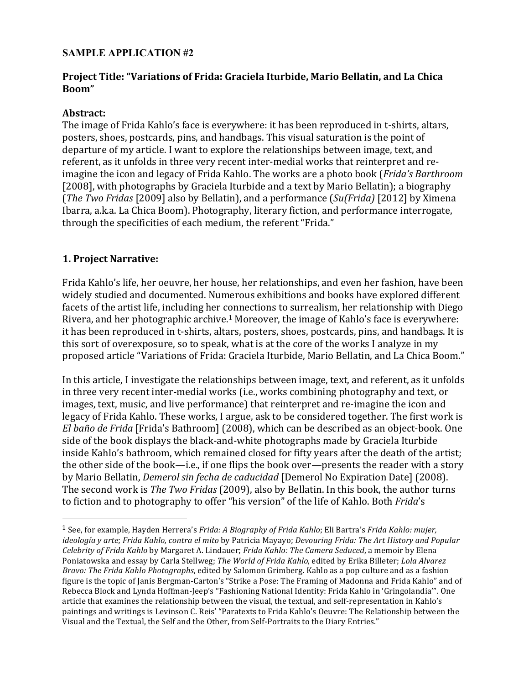# **SAMPLE APPLICATION #2**

# **Project Title: "Variations of Frida: Graciela Iturbide, Mario Bellatin, and La Chica Boom"**

## **Abstract:**

The image of Frida Kahlo's face is everywhere: it has been reproduced in t-shirts, altars, posters, shoes, postcards, pins, and handbags. This visual saturation is the point of departure of my article. I want to explore the relationships between image, text, and referent, as it unfolds in three very recent inter-medial works that reinterpret and reimagine the icon and legacy of Frida Kahlo. The works are a photo book (*Frida's Barthroom* [2008], with photographs by Graciela Iturbide and a text by Mario Bellatin); a biography (*The Two Fridas* [2009] also by Bellatin), and a performance (*Su(Frida)* [2012] by Ximena Ibarra, a.k.a. La Chica Boom). Photography, literary fiction, and performance interrogate, through the specificities of each medium, the referent "Frida."

# **1. Project Narrative:**

1

Frida Kahlo's life, her oeuvre, her house, her relationships, and even her fashion, have been widely studied and documented. Numerous exhibitions and books have explored different facets of the artist life, including her connections to surrealism, her relationship with Diego Rivera, and her photographic archive.1 Moreover, the image of Kahlo's face is everywhere: it has been reproduced in t-shirts, altars, posters, shoes, postcards, pins, and handbags. It is this sort of overexposure, so to speak, what is at the core of the works I analyze in my proposed article "Variations of Frida: Graciela Iturbide, Mario Bellatin, and La Chica Boom."

In this article, I investigate the relationships between image, text, and referent, as it unfolds in three very recent inter-medial works (i.e., works combining photography and text, or images, text, music, and live performance) that reinterpret and re-imagine the icon and legacy of Frida Kahlo. These works, I argue, ask to be considered together. The first work is *El baño de Frida* [Frida's Bathroom] (2008), which can be described as an object-book. One side of the book displays the black-and-white photographs made by Graciela Iturbide inside Kahlo's bathroom, which remained closed for fifty years after the death of the artist; the other side of the book—i.e., if one flips the book over—presents the reader with a story by Mario Bellatin, *Demerol sin fecha de caducidad* [Demerol No Expiration Date] (2008). The second work is *The Two Fridas* (2009), also by Bellatin. In this book, the author turns to fiction and to photography to offer "his version" of the life of Kahlo. Both *Frida*'s

<sup>1</sup> See, for example, Hayden Herrera's *Frida: A Biography of Frida Kahlo*; Eli Bartra's *Frida Kahlo: mujer, ideología y arte*; *Frida Kahlo, contra el mito* by Patricia Mayayo; *Devouring Frida: The Art History and Popular Celebrity of Frida Kahlo* by Margaret A. Lindauer; *Frida Kahlo: The Camera Seduced*, a memoir by Elena Poniatowska and essay by Carla Stellweg; *The World of Frida Kahlo*, edited by Erika Billeter; *Lola Alvarez Bravo: The Frida Kahlo Photographs*, edited by Salomon Grimberg. Kahlo as a pop culture and as a fashion figure is the topic of Janis Bergman-Carton's "Strike a Pose: The Framing of Madonna and Frida Kahlo" and of Rebecca Block and Lynda Hoffman-Jeep's "Fashioning National Identity: Frida Kahlo in 'Gringolandia'". One article that examines the relationship between the visual, the textual, and self-representation in Kahlo's paintings and writings is Levinson C. Reis' "Paratexts to Frida Kahlo's Oeuvre: The Relationship between the Visual and the Textual, the Self and the Other, from Self-Portraits to the Diary Entries."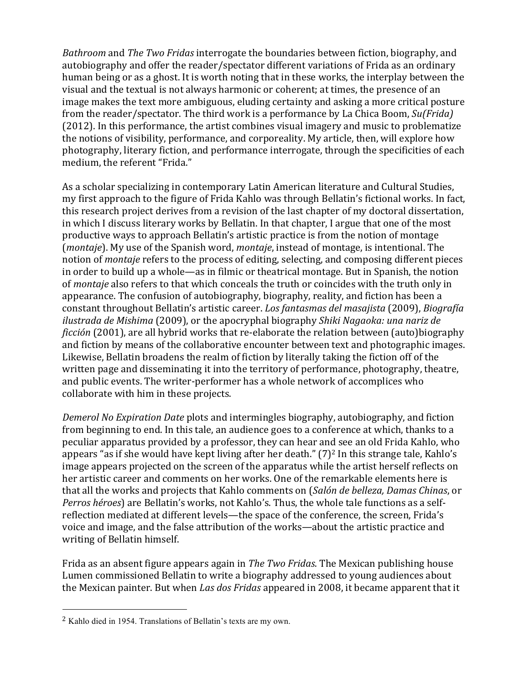*Bathroom* and *The Two Fridas* interrogate the boundaries between fiction, biography, and autobiography and offer the reader/spectator different variations of Frida as an ordinary human being or as a ghost. It is worth noting that in these works, the interplay between the visual and the textual is not always harmonic or coherent; at times, the presence of an image makes the text more ambiguous, eluding certainty and asking a more critical posture from the reader/spectator. The third work is a performance by La Chica Boom, *Su(Frida)* (2012). In this performance, the artist combines visual imagery and music to problematize the notions of visibility, performance, and corporeality. My article, then, will explore how photography, literary fiction, and performance interrogate, through the specificities of each medium, the referent "Frida."

As a scholar specializing in contemporary Latin American literature and Cultural Studies, my first approach to the figure of Frida Kahlo was through Bellatin's fictional works. In fact, this research project derives from a revision of the last chapter of my doctoral dissertation, in which I discuss literary works by Bellatin. In that chapter, I argue that one of the most productive ways to approach Bellatin's artistic practice is from the notion of montage (*montaje*). My use of the Spanish word, *montaje*, instead of montage, is intentional. The notion of *montaje* refers to the process of editing, selecting, and composing different pieces in order to build up a whole—as in filmic or theatrical montage. But in Spanish, the notion of *montaje* also refers to that which conceals the truth or coincides with the truth only in appearance. The confusion of autobiography, biography, reality, and fiction has been a constant throughout Bellatin's artistic career. *Los fantasmas del masajista* (2009), *Biografía ilustrada de Mishima* (2009), or the apocryphal biography *Shiki Nagaoka: una nariz de ficción* (2001), are all hybrid works that re-elaborate the relation between (auto)biography and fiction by means of the collaborative encounter between text and photographic images. Likewise, Bellatin broadens the realm of fiction by literally taking the fiction off of the written page and disseminating it into the territory of performance, photography, theatre, and public events. The writer-performer has a whole network of accomplices who collaborate with him in these projects.

*Demerol No Expiration Date* plots and intermingles biography, autobiography, and fiction from beginning to end. In this tale, an audience goes to a conference at which, thanks to a peculiar apparatus provided by a professor, they can hear and see an old Frida Kahlo, who appears "as if she would have kept living after her death."  $(7)^2$  In this strange tale, Kahlo's image appears projected on the screen of the apparatus while the artist herself reflects on her artistic career and comments on her works. One of the remarkable elements here is that all the works and projects that Kahlo comments on (*Salón de belleza, Damas Chinas*, or *Perros héroes*) are Bellatin's works, not Kahlo's. Thus, the whole tale functions as a selfreflection mediated at different levels—the space of the conference, the screen, Frida's voice and image, and the false attribution of the works—about the artistic practice and writing of Bellatin himself.

Frida as an absent figure appears again in *The Two Fridas*. The Mexican publishing house Lumen commissioned Bellatin to write a biography addressed to young audiences about the Mexican painter. But when *Las dos Fridas* appeared in 2008, it became apparent that it

1

<sup>2</sup> Kahlo died in 1954. Translations of Bellatin's texts are my own.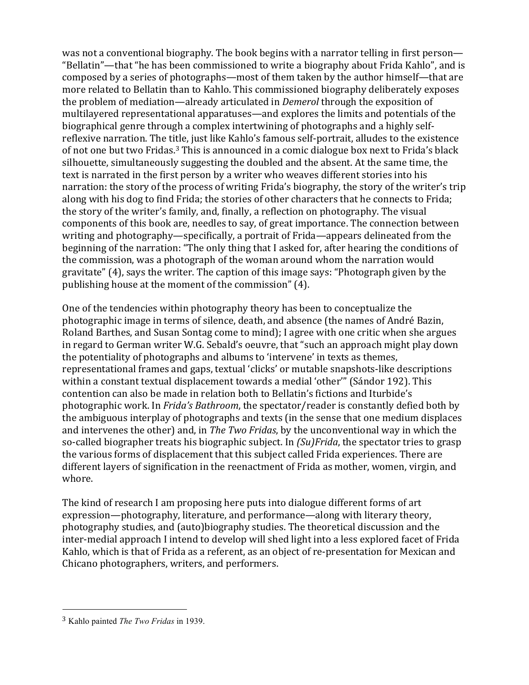was not a conventional biography. The book begins with a narrator telling in first person— "Bellatin"—that "he has been commissioned to write a biography about Frida Kahlo", and is composed by a series of photographs—most of them taken by the author himself—that are more related to Bellatin than to Kahlo. This commissioned biography deliberately exposes the problem of mediation—already articulated in *Demerol* through the exposition of multilayered representational apparatuses—and explores the limits and potentials of the biographical genre through a complex intertwining of photographs and a highly selfreflexive narration. The title, just like Kahlo's famous self-portrait, alludes to the existence of not one but two Fridas.3 This is announced in a comic dialogue box next to Frida's black silhouette, simultaneously suggesting the doubled and the absent. At the same time, the text is narrated in the first person by a writer who weaves different stories into his narration: the story of the process of writing Frida's biography, the story of the writer's trip along with his dog to find Frida; the stories of other characters that he connects to Frida; the story of the writer's family, and, finally, a reflection on photography. The visual components of this book are, needles to say, of great importance. The connection between writing and photography—specifically, a portrait of Frida—appears delineated from the beginning of the narration: "The only thing that I asked for, after hearing the conditions of the commission, was a photograph of the woman around whom the narration would gravitate" (4), says the writer. The caption of this image says: "Photograph given by the publishing house at the moment of the commission" (4).

One of the tendencies within photography theory has been to conceptualize the photographic image in terms of silence, death, and absence (the names of André Bazin, Roland Barthes, and Susan Sontag come to mind); I agree with one critic when she argues in regard to German writer W.G. Sebald's oeuvre, that "such an approach might play down the potentiality of photographs and albums to 'intervene' in texts as themes, representational frames and gaps, textual 'clicks' or mutable snapshots-like descriptions within a constant textual displacement towards a medial 'other'" (Sándor 192). This contention can also be made in relation both to Bellatin's fictions and Iturbide's photographic work. In *Frida's Bathroom*, the spectator/reader is constantly defied both by the ambiguous interplay of photographs and texts (in the sense that one medium displaces and intervenes the other) and, in *The Two Fridas*, by the unconventional way in which the so-called biographer treats his biographic subject. In *(Su)Frida*, the spectator tries to grasp the various forms of displacement that this subject called Frida experiences. There are different layers of signification in the reenactment of Frida as mother, women, virgin, and whore.

The kind of research I am proposing here puts into dialogue different forms of art expression—photography, literature, and performance—along with literary theory, photography studies, and (auto)biography studies. The theoretical discussion and the inter-medial approach I intend to develop will shed light into a less explored facet of Frida Kahlo, which is that of Frida as a referent, as an object of re-presentation for Mexican and Chicano photographers, writers, and performers.

1

<sup>3</sup> Kahlo painted *The Two Fridas* in 1939.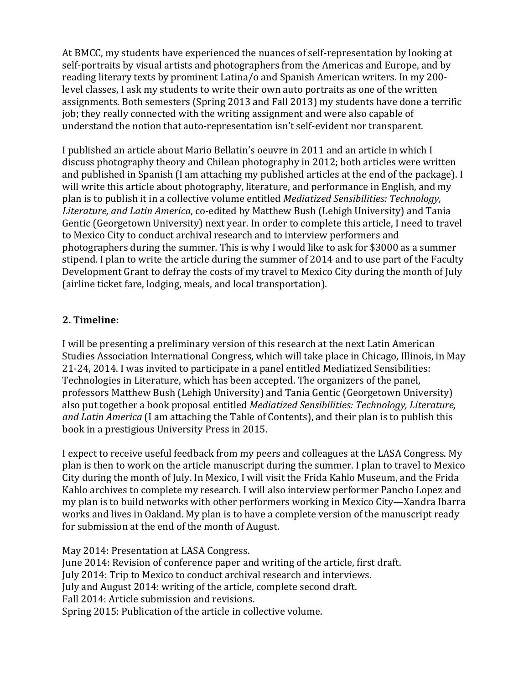At BMCC, my students have experienced the nuances of self-representation by looking at self-portraits by visual artists and photographers from the Americas and Europe, and by reading literary texts by prominent Latina/o and Spanish American writers. In my 200 level classes, I ask my students to write their own auto portraits as one of the written assignments. Both semesters (Spring 2013 and Fall 2013) my students have done a terrific job; they really connected with the writing assignment and were also capable of understand the notion that auto-representation isn't self-evident nor transparent.

I published an article about Mario Bellatin's oeuvre in 2011 and an article in which I discuss photography theory and Chilean photography in 2012; both articles were written and published in Spanish (I am attaching my published articles at the end of the package). I will write this article about photography, literature, and performance in English, and my plan is to publish it in a collective volume entitled *Mediatized Sensibilities: Technology, Literature, and Latin America*, co-edited by Matthew Bush (Lehigh University) and Tania Gentic (Georgetown University) next year*.* In order to complete this article, I need to travel to Mexico City to conduct archival research and to interview performers and photographers during the summer*.* This is why I would like to ask for \$3000 as a summer stipend. I plan to write the article during the summer of 2014 and to use part of the Faculty Development Grant to defray the costs of my travel to Mexico City during the month of July (airline ticket fare, lodging, meals, and local transportation).

# **2. Timeline:**

I will be presenting a preliminary version of this research at the next Latin American Studies Association International Congress, which will take place in Chicago, Illinois, in May 21-24, 2014. I was invited to participate in a panel entitled Mediatized Sensibilities: Technologies in Literature, which has been accepted. The organizers of the panel, professors Matthew Bush (Lehigh University) and Tania Gentic (Georgetown University) also put together a book proposal entitled *Mediatized Sensibilities: Technology, Literature, and Latin America* (I am attaching the Table of Contents), and their plan is to publish this book in a prestigious University Press in 2015.

I expect to receive useful feedback from my peers and colleagues at the LASA Congress. My plan is then to work on the article manuscript during the summer. I plan to travel to Mexico City during the month of July. In Mexico, I will visit the Frida Kahlo Museum, and the Frida Kahlo archives to complete my research. I will also interview performer Pancho Lopez and my plan is to build networks with other performers working in Mexico City—Xandra Ibarra works and lives in Oakland. My plan is to have a complete version of the manuscript ready for submission at the end of the month of August.

May 2014: Presentation at LASA Congress. June 2014: Revision of conference paper and writing of the article, first draft. July 2014: Trip to Mexico to conduct archival research and interviews. July and August 2014: writing of the article, complete second draft. Fall 2014: Article submission and revisions. Spring 2015: Publication of the article in collective volume.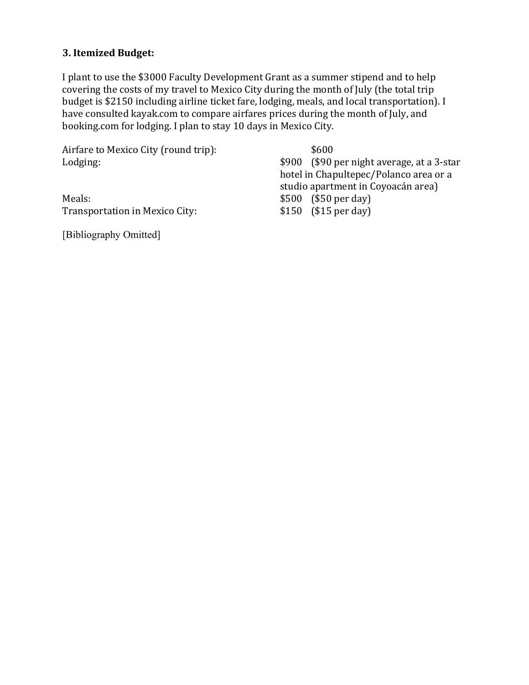# **3. Itemized Budget:**

I plant to use the \$3000 Faculty Development Grant as a summer stipend and to help covering the costs of my travel to Mexico City during the month of July (the total trip budget is \$2150 including airline ticket fare, lodging, meals, and local transportation). I have consulted kayak.com to compare airfares prices during the month of July, and booking.com for lodging. I plan to stay 10 days in Mexico City.

| Airfare to Mexico City (round trip): | \$600                                      |
|--------------------------------------|--------------------------------------------|
| Lodging:                             | \$900 (\$90 per night average, at a 3-star |
|                                      | hotel in Chapultepec/Polanco area or a     |
|                                      | studio apartment in Coyoacán area)         |
| Meals:                               | $$500$ (\$50 per day)                      |
| Transportation in Mexico City:       | $$150$ (\$15 per day)                      |
|                                      |                                            |

[Bibliography Omitted]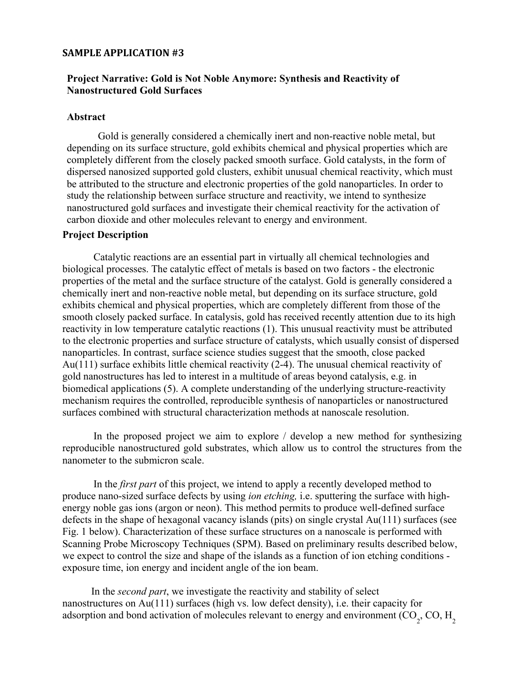#### **SAMPLE APPLICATION #3**

## **Project Narrative: Gold is Not Noble Anymore: Synthesis and Reactivity of Nanostructured Gold Surfaces**

#### **Abstract**

Gold is generally considered a chemically inert and non-reactive noble metal, but depending on its surface structure, gold exhibits chemical and physical properties which are completely different from the closely packed smooth surface. Gold catalysts, in the form of dispersed nanosized supported gold clusters, exhibit unusual chemical reactivity, which must be attributed to the structure and electronic properties of the gold nanoparticles. In order to study the relationship between surface structure and reactivity, we intend to synthesize nanostructured gold surfaces and investigate their chemical reactivity for the activation of carbon dioxide and other molecules relevant to energy and environment.

### **Project Description**

Catalytic reactions are an essential part in virtually all chemical technologies and biological processes. The catalytic effect of metals is based on two factors - the electronic properties of the metal and the surface structure of the catalyst. Gold is generally considered a chemically inert and non-reactive noble metal, but depending on its surface structure, gold exhibits chemical and physical properties, which are completely different from those of the smooth closely packed surface. In catalysis, gold has received recently attention due to its high reactivity in low temperature catalytic reactions (1). This unusual reactivity must be attributed to the electronic properties and surface structure of catalysts, which usually consist of dispersed nanoparticles. In contrast, surface science studies suggest that the smooth, close packed Au(111) surface exhibits little chemical reactivity (2-4). The unusual chemical reactivity of gold nanostructures has led to interest in a multitude of areas beyond catalysis, e.g. in biomedical applications (5). A complete understanding of the underlying structure-reactivity mechanism requires the controlled, reproducible synthesis of nanoparticles or nanostructured surfaces combined with structural characterization methods at nanoscale resolution.

In the proposed project we aim to explore / develop a new method for synthesizing reproducible nanostructured gold substrates, which allow us to control the structures from the nanometer to the submicron scale.

In the *first part* of this project, we intend to apply a recently developed method to produce nano-sized surface defects by using *ion etching,* i.e. sputtering the surface with highenergy noble gas ions (argon or neon). This method permits to produce well-defined surface defects in the shape of hexagonal vacancy islands (pits) on single crystal Au(111) surfaces (see Fig. 1 below). Characterization of these surface structures on a nanoscale is performed with Scanning Probe Microscopy Techniques (SPM). Based on preliminary results described below, we expect to control the size and shape of the islands as a function of ion etching conditions exposure time, ion energy and incident angle of the ion beam.

In the *second part*, we investigate the reactivity and stability of select nanostructures on Au(111) surfaces (high vs. low defect density), i.e. their capacity for adsorption and bond activation of molecules relevant to energy and environment (CO<sub>2</sub>, CO, H<sub>2</sub>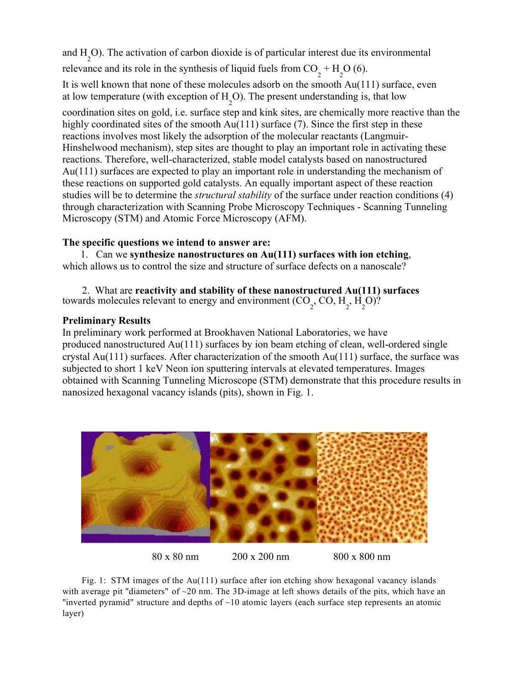and H 2 O). The activation of carbon dioxide is of particular interest due its environmental

relevance and its role in the synthesis of liquid fuels from  $CO_2 + H_2O(6)$ .

It is well known that none of these molecules adsorb on the smooth Au(111) surface, even at low temperature (with exception of  $H_2$ O). The present understanding is, that low

coordination sites on gold, i.e. surface step and kink sites, are chemically more reactive than the highly coordinated sites of the smooth Au(111) surface (7). Since the first step in these reactions involves most likely the adsorption of the molecular reactants (Langmuir-Hinshelwood mechanism), step sites are thought to play an important role in activating these reactions. Therefore, well-characterized, stable model catalysts based on nanostructured Au(111) surfaces are expected to play an important role in understanding the mechanism of these reactions on supported gold catalysts. An equally important aspect of these reaction studies will be to determine the *structural stability* of the surface under reaction conditions (4) through characterization with Scanning Probe Microscopy Techniques - Scanning Tunneling Microscopy (STM) and Atomic Force Microscopy (AFM).

## **The specific questions we intend to answer are:**

1. Can we **synthesize nanostructures on Au(111) surfaces with ion etching**, which allows us to control the size and structure of surface defects on a nanoscale?

2. What are **reactivity and stability of these nanostructured Au(111) surfaces** towards molecules relevant to energy and environment  $(CO_2, CO, H_2, H_2O$ ?

## **Preliminary Results**

In preliminary work performed at Brookhaven National Laboratories, we have produced nanostructured Au(111) surfaces by ion beam etching of clean, well-ordered single crystal Au(111) surfaces. After characterization of the smooth Au(111) surface, the surface was subjected to short 1 keV Neon ion sputtering intervals at elevated temperatures. Images obtained with Scanning Tunneling Microscope (STM) demonstrate that this procedure results in nanosized hexagonal vacancy islands (pits), shown in Fig. 1.



80 x 80 nm 200 x 200 nm 800 x 800 nm

Fig. 1: STM images of the Au(111) surface after ion etching show hexagonal vacancy islands with average pit "diameters" of  $\sim$ 20 nm. The 3D-image at left shows details of the pits, which have an "inverted pyramid" structure and depths of  $\sim$ 10 atomic layers (each surface step represents an atomic layer)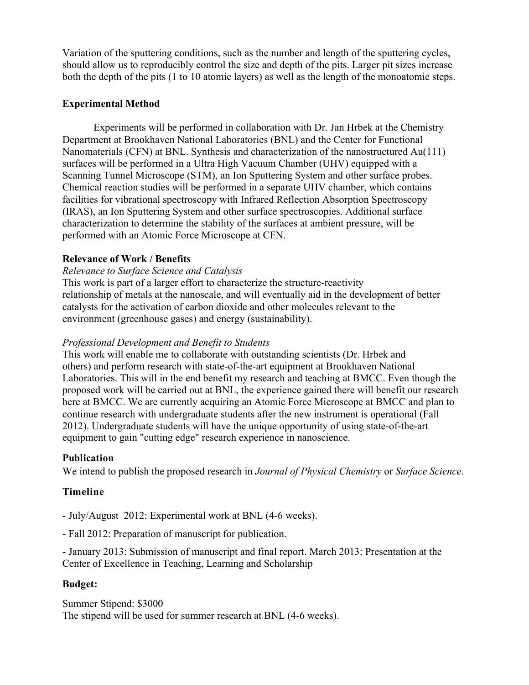Variation of the sputtering conditions, such as the number and length of the sputtering cycles, should allow us to reproducibly control the size and depth of the pits. Larger pit sizes increase both the depth of the pits (1 to 10 atomic layers) as well as the length of the monoatomic steps.

## **Experimental Method**

Experiments will be performed in collaboration with Dr. Jan Hrbek at the Chemistry Department at Brookhaven National Laboratories (BNL) and the Center for Functional Nanomaterials (CFN) at BNL. Synthesis and characterization of the nanostructured Au(111) surfaces will be performed in a Ultra High Vacuum Chamber (UHV) equipped with a Scanning Tunnel Microscope (STM), an Ion Sputtering System and other surface probes. Chemical reaction studies will be performed in a separate UHV chamber, which contains facilities for vibrational spectroscopy with Infrared Reflection Absorption Spectroscopy (IRAS), an Ion Sputtering System and other surface spectroscopies. Additional surface characterization to determine the stability of the surfaces at ambient pressure, will be performed with an Atomic Force Microscope at CFN.

## **Relevance of Work / Benefits**

## *Relevance to Surface Science and Catalysis*

This work is part of a larger effort to characterize the structure-reactivity relationship of metals at the nanoscale, and will eventually aid in the development of better catalysts for the activation of carbon dioxide and other molecules relevant to the environment (greenhouse gases) and energy (sustainability).

## *Professional Development and Benefit to Students*

This work will enable me to collaborate with outstanding scientists (Dr. Hrbek and others) and perform research with state-of-the-art equipment at Brookhaven National Laboratories. This will in the end benefit my research and teaching at BMCC. Even though the proposed work will be carried out at BNL, the experience gained there will benefit our research here at BMCC. We are currently acquiring an Atomic Force Microscope at BMCC and plan to continue research with undergraduate students after the new instrument is operational (Fall 2012). Undergraduate students will have the unique opportunity of using state-of-the-art equipment to gain "cutting edge" research experience in nanoscience.

### **Publication**

We intend to publish the proposed research in *Journal of Physical Chemistry* or *Surface Science*.

## **Timeline**

- July/August 2012: Experimental work at BNL (4-6 weeks).
- Fall 2012: Preparation of manuscript for publication.

- January 2013: Submission of manuscript and final report. March 2013: Presentation at the Center of Excellence in Teaching, Learning and Scholarship

## **Budget:**

Summer Stipend: \$3000 The stipend will be used for summer research at BNL (4-6 weeks).